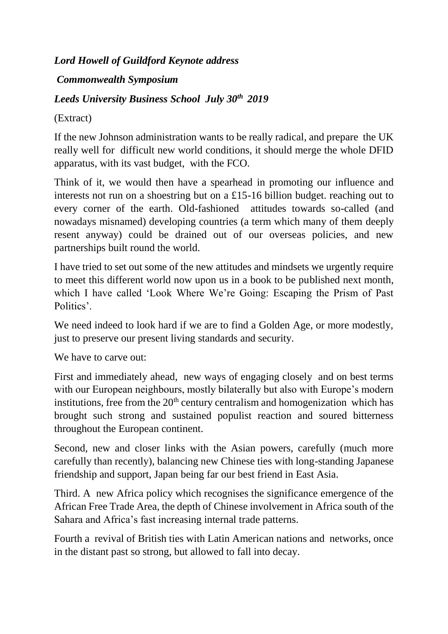## *Lord Howell of Guildford Keynote address*

## *Commonwealth Symposium*

## *Leeds University Business School July 30th 2019*

## (Extract)

If the new Johnson administration wants to be really radical, and prepare the UK really well for difficult new world conditions, it should merge the whole DFID apparatus, with its vast budget, with the FCO.

Think of it, we would then have a spearhead in promoting our influence and interests not run on a shoestring but on a £15-16 billion budget. reaching out to every corner of the earth. Old-fashioned attitudes towards so-called (and nowadays misnamed) developing countries (a term which many of them deeply resent anyway) could be drained out of our overseas policies, and new partnerships built round the world.

I have tried to set out some of the new attitudes and mindsets we urgently require to meet this different world now upon us in a book to be published next month, which I have called 'Look Where We're Going: Escaping the Prism of Past Politics'.

We need indeed to look hard if we are to find a Golden Age, or more modestly, just to preserve our present living standards and security.

We have to carve out:

First and immediately ahead, new ways of engaging closely and on best terms with our European neighbours, mostly bilaterally but also with Europe's modern institutions, free from the  $20<sup>th</sup>$  century centralism and homogenization which has brought such strong and sustained populist reaction and soured bitterness throughout the European continent.

Second, new and closer links with the Asian powers, carefully (much more carefully than recently), balancing new Chinese ties with long-standing Japanese friendship and support, Japan being far our best friend in East Asia.

Third. A new Africa policy which recognises the significance emergence of the African Free Trade Area, the depth of Chinese involvement in Africa south of the Sahara and Africa's fast increasing internal trade patterns.

Fourth a revival of British ties with Latin American nations and networks, once in the distant past so strong, but allowed to fall into decay.